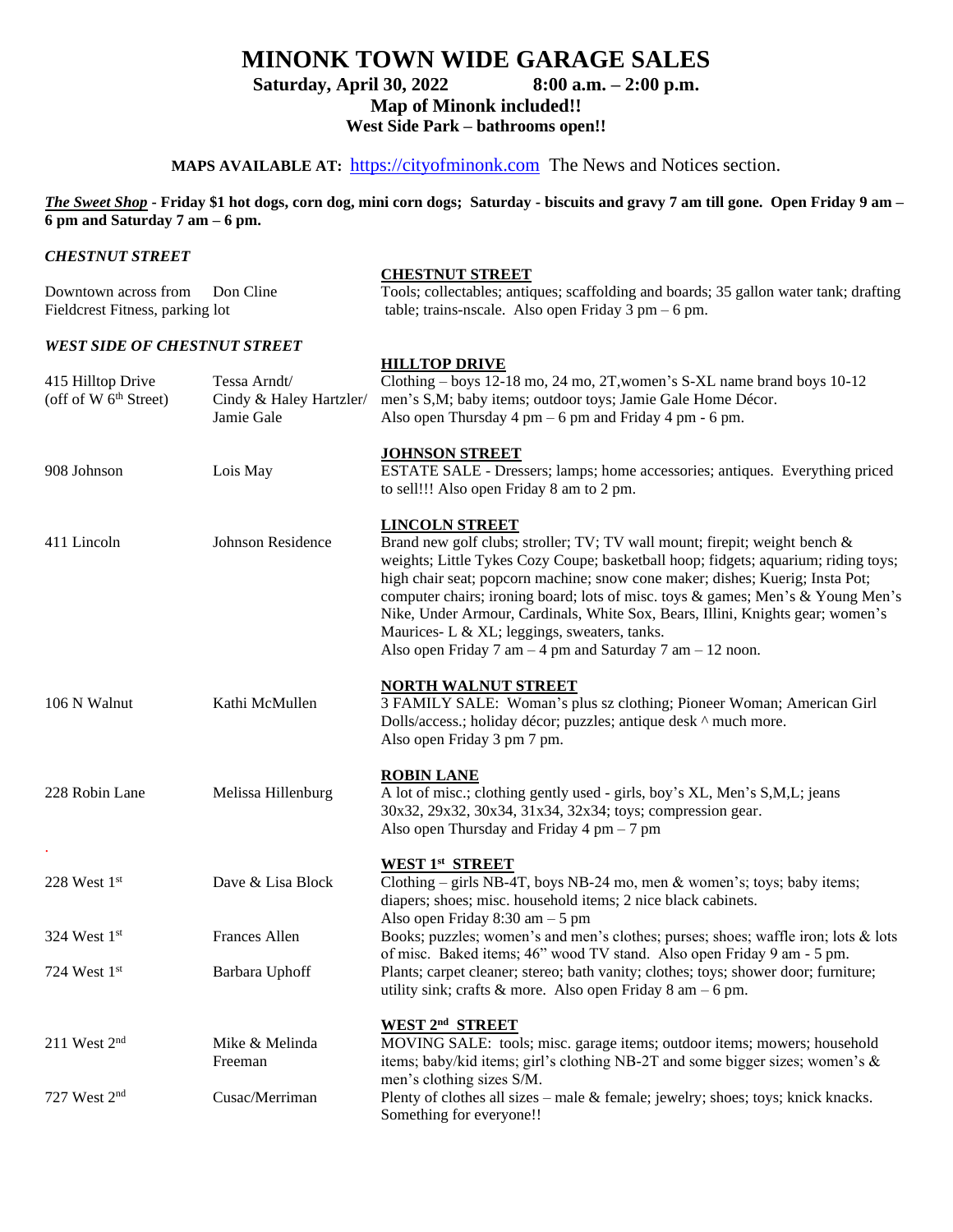## **MINONK TOWN WIDE GARAGE SALES**

**Saturday, April 30, 2022 8:00 a.m. – 2:00 p.m.**

**Map of Minonk included!!**

**West Side Park – bathrooms open!!**

## MAPS AVAILABLE AT: [https://cityofminonk.com](https://cityofminonk.com/) The News and Notices section.

*The Sweet Shop* **- Friday \$1 hot dogs, corn dog, mini corn dogs; Saturday - biscuits and gravy 7 am till gone. Open Friday 9 am – 6 pm and Saturday 7 am – 6 pm.** 

*CHESTNUT STREET*

| Downtown across from<br>Fieldcrest Fitness, parking lot | Don Cline                                             | <b>CHESTNUT STREET</b><br>Tools; collectables; antiques; scaffolding and boards; 35 gallon water tank; drafting<br>table; trains-nscale. Also open Friday $3 \text{ pm} - 6 \text{ pm}$ .                                                                                                                                                                                                                                                                                                                                                                      |
|---------------------------------------------------------|-------------------------------------------------------|----------------------------------------------------------------------------------------------------------------------------------------------------------------------------------------------------------------------------------------------------------------------------------------------------------------------------------------------------------------------------------------------------------------------------------------------------------------------------------------------------------------------------------------------------------------|
| <b>WEST SIDE OF CHESTNUT STREET</b>                     |                                                       |                                                                                                                                                                                                                                                                                                                                                                                                                                                                                                                                                                |
| 415 Hilltop Drive<br>(off of W $6th$ Street)            | Tessa Arndt/<br>Cindy & Haley Hartzler/<br>Jamie Gale | <b>HILLTOP DRIVE</b><br>Clothing – boys 12-18 mo, 24 mo, 2T, women's S-XL name brand boys 10-12<br>men's S,M; baby items; outdoor toys; Jamie Gale Home Décor.<br>Also open Thursday 4 pm $-6$ pm and Friday 4 pm $-6$ pm.                                                                                                                                                                                                                                                                                                                                     |
| 908 Johnson                                             | Lois May                                              | <b>JOHNSON STREET</b><br>ESTATE SALE - Dressers; lamps; home accessories; antiques. Everything priced<br>to sell!!! Also open Friday 8 am to 2 pm.                                                                                                                                                                                                                                                                                                                                                                                                             |
| 411 Lincoln                                             | Johnson Residence                                     | <b>LINCOLN STREET</b><br>Brand new golf clubs; stroller; TV; TV wall mount; firepit; weight bench &<br>weights; Little Tykes Cozy Coupe; basketball hoop; fidgets; aquarium; riding toys;<br>high chair seat; popcorn machine; snow cone maker; dishes; Kuerig; Insta Pot;<br>computer chairs; ironing board; lots of misc. toys & games; Men's & Young Men's<br>Nike, Under Armour, Cardinals, White Sox, Bears, Illini, Knights gear; women's<br>Maurices- L & XL; leggings, sweaters, tanks.<br>Also open Friday 7 am $-4$ pm and Saturday 7 am $-12$ noon. |
| 106 N Walnut                                            | Kathi McMullen                                        | <b>NORTH WALNUT STREET</b><br>3 FAMILY SALE: Woman's plus sz clothing; Pioneer Woman; American Girl<br>Dolls/access.; holiday décor; puzzles; antique desk ^ much more.<br>Also open Friday 3 pm 7 pm.                                                                                                                                                                                                                                                                                                                                                         |
| 228 Robin Lane                                          | Melissa Hillenburg                                    | <b>ROBIN LANE</b><br>A lot of misc.; clothing gently used - girls, boy's XL, Men's S,M,L; jeans<br>30x32, 29x32, 30x34, 31x34, 32x34; toys; compression gear.<br>Also open Thursday and Friday $4 \text{ pm} - 7 \text{ pm}$                                                                                                                                                                                                                                                                                                                                   |
| 228 West 1st                                            | Dave & Lisa Block                                     | <b>WEST 1st STREET</b><br>Clothing - girls NB-4T, boys NB-24 mo, men & women's; toys; baby items;<br>diapers; shoes; misc. household items; 2 nice black cabinets.                                                                                                                                                                                                                                                                                                                                                                                             |
| 324 West 1st                                            | Frances Allen                                         | Also open Friday 8:30 am $-5$ pm<br>Books; puzzles; women's and men's clothes; purses; shoes; waffle iron; lots & lots                                                                                                                                                                                                                                                                                                                                                                                                                                         |
| 724 West 1st                                            | Barbara Uphoff                                        | of misc. Baked items; 46" wood TV stand. Also open Friday 9 am - 5 pm.<br>Plants; carpet cleaner; stereo; bath vanity; clothes; toys; shower door; furniture;<br>utility sink; crafts & more. Also open Friday 8 am $-6$ pm.                                                                                                                                                                                                                                                                                                                                   |
| 211 West $2nd$                                          | Mike & Melinda<br>Freeman                             | WEST 2 <sup>nd</sup> STREET<br>MOVING SALE: tools; misc. garage items; outdoor items; mowers; household<br>items; baby/kid items; girl's clothing NB-2T and some bigger sizes; women's &<br>men's clothing sizes S/M.                                                                                                                                                                                                                                                                                                                                          |
| 727 West 2 <sup>nd</sup>                                | Cusac/Merriman                                        | Plenty of clothes all sizes – male $&$ female; jewelry; shoes; toys; knick knacks.                                                                                                                                                                                                                                                                                                                                                                                                                                                                             |

Something for everyone!!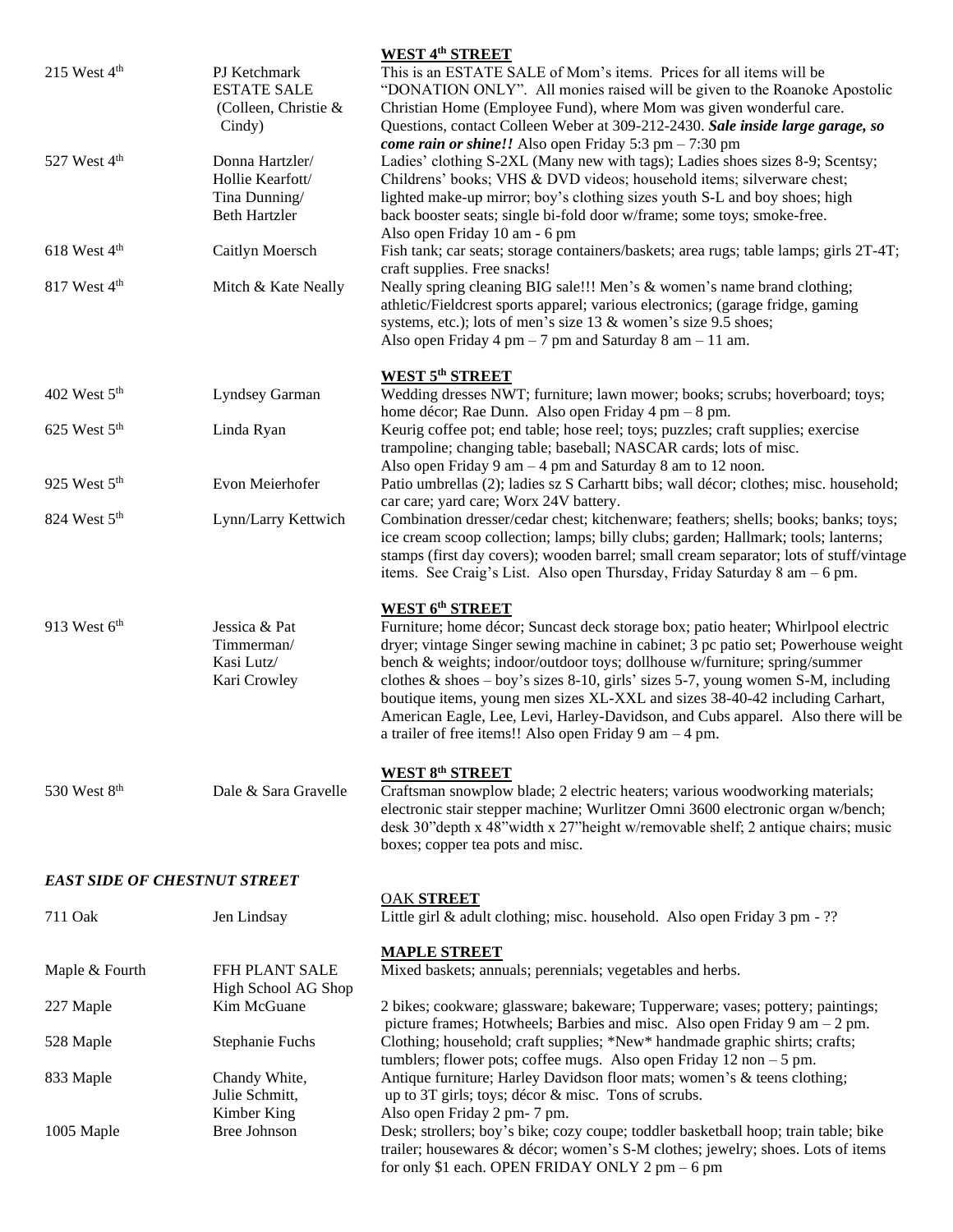| 215 West $4th$                      | PJ Ketchmark<br><b>ESTATE SALE</b><br>(Colleen, Christie &<br>Cindy)         | <b>WEST 4th STREET</b><br>This is an ESTATE SALE of Mom's items. Prices for all items will be<br>"DONATION ONLY". All monies raised will be given to the Roanoke Apostolic<br>Christian Home (Employee Fund), where Mom was given wonderful care.<br>Questions, contact Colleen Weber at 309-212-2430. Sale inside large garage, so                                                                                                                                                                                                                                                                    |
|-------------------------------------|------------------------------------------------------------------------------|--------------------------------------------------------------------------------------------------------------------------------------------------------------------------------------------------------------------------------------------------------------------------------------------------------------------------------------------------------------------------------------------------------------------------------------------------------------------------------------------------------------------------------------------------------------------------------------------------------|
| 527 West 4 <sup>th</sup>            | Donna Hartzler/<br>Hollie Kearfott/<br>Tina Dunning/<br><b>Beth Hartzler</b> | <i>come rain or shine!!</i> Also open Friday $5:3$ pm $-7:30$ pm<br>Ladies' clothing S-2XL (Many new with tags); Ladies shoes sizes 8-9; Scentsy;<br>Childrens' books; VHS & DVD videos; household items; silverware chest;<br>lighted make-up mirror; boy's clothing sizes youth S-L and boy shoes; high<br>back booster seats; single bi-fold door w/frame; some toys; smoke-free.<br>Also open Friday 10 am - 6 pm                                                                                                                                                                                  |
| 618 West 4 <sup>th</sup>            | Caitlyn Moersch                                                              | Fish tank; car seats; storage containers/baskets; area rugs; table lamps; girls 2T-4T;<br>craft supplies. Free snacks!                                                                                                                                                                                                                                                                                                                                                                                                                                                                                 |
| 817 West 4 <sup>th</sup>            | Mitch & Kate Neally                                                          | Neally spring cleaning BIG sale!!! Men's & women's name brand clothing;<br>athletic/Fieldcrest sports apparel; various electronics; (garage fridge, gaming<br>systems, etc.); lots of men's size 13 & women's size 9.5 shoes;<br>Also open Friday 4 pm $-7$ pm and Saturday 8 am $-11$ am.                                                                                                                                                                                                                                                                                                             |
| 402 West 5 <sup>th</sup>            | Lyndsey Garman                                                               | <b>WEST 5th STREET</b><br>Wedding dresses NWT; furniture; lawn mower; books; scrubs; hoverboard; toys;<br>home décor; Rae Dunn. Also open Friday 4 pm $-8$ pm.                                                                                                                                                                                                                                                                                                                                                                                                                                         |
| 625 West $5th$                      | Linda Ryan                                                                   | Keurig coffee pot; end table; hose reel; toys; puzzles; craft supplies; exercise<br>trampoline; changing table; baseball; NASCAR cards; lots of misc.<br>Also open Friday 9 am $-4$ pm and Saturday 8 am to 12 noon.                                                                                                                                                                                                                                                                                                                                                                                   |
| 925 West 5 <sup>th</sup>            | Evon Meierhofer                                                              | Patio umbrellas (2); ladies sz S Carhartt bibs; wall décor; clothes; misc. household;<br>car care; yard care; Worx 24V battery.                                                                                                                                                                                                                                                                                                                                                                                                                                                                        |
| 824 West 5 <sup>th</sup>            | Lynn/Larry Kettwich                                                          | Combination dresser/cedar chest; kitchenware; feathers; shells; books; banks; toys;<br>ice cream scoop collection; lamps; billy clubs; garden; Hallmark; tools; lanterns;<br>stamps (first day covers); wooden barrel; small cream separator; lots of stuff/vintage<br>items. See Craig's List. Also open Thursday, Friday Saturday 8 am - 6 pm.                                                                                                                                                                                                                                                       |
| 913 West 6 <sup>th</sup>            | Jessica & Pat<br>Timmerman/<br>Kasi Lutz/<br>Kari Crowley                    | <b>WEST 6th STREET</b><br>Furniture; home décor; Suncast deck storage box; patio heater; Whirlpool electric<br>dryer; vintage Singer sewing machine in cabinet; 3 pc patio set; Powerhouse weight<br>bench & weights; indoor/outdoor toys; dollhouse w/furniture; spring/summer<br>clothes $\&$ shoes – boy's sizes 8-10, girls' sizes 5-7, young women S-M, including<br>boutique items, young men sizes XL-XXL and sizes 38-40-42 including Carhart,<br>American Eagle, Lee, Levi, Harley-Davidson, and Cubs apparel. Also there will be<br>a trailer of free items!! Also open Friday 9 am $-4$ pm. |
| 530 West 8 <sup>th</sup>            | Dale & Sara Gravelle                                                         | <b>WEST 8th STREET</b><br>Craftsman snowplow blade; 2 electric heaters; various woodworking materials;<br>electronic stair stepper machine; Wurlitzer Omni 3600 electronic organ w/bench;<br>desk 30"depth x 48"width x 27"height w/removable shelf; 2 antique chairs; music<br>boxes; copper tea pots and misc.                                                                                                                                                                                                                                                                                       |
| <b>EAST SIDE OF CHESTNUT STREET</b> |                                                                              |                                                                                                                                                                                                                                                                                                                                                                                                                                                                                                                                                                                                        |
| 711 Oak                             | Jen Lindsay                                                                  | <b>OAK STREET</b><br>Little girl & adult clothing; misc. household. Also open Friday 3 pm - ??                                                                                                                                                                                                                                                                                                                                                                                                                                                                                                         |
| Maple & Fourth                      | FFH PLANT SALE<br>High School AG Shop                                        | <b>MAPLE STREET</b><br>Mixed baskets; annuals; perennials; vegetables and herbs.                                                                                                                                                                                                                                                                                                                                                                                                                                                                                                                       |
| 227 Maple                           | Kim McGuane                                                                  | 2 bikes; cookware; glassware; bakeware; Tupperware; vases; pottery; paintings;<br>picture frames; Hotwheels; Barbies and misc. Also open Friday 9 am - 2 pm.                                                                                                                                                                                                                                                                                                                                                                                                                                           |
| 528 Maple                           | <b>Stephanie Fuchs</b>                                                       | Clothing; household; craft supplies; *New* handmade graphic shirts; crafts;<br>tumblers; flower pots; coffee mugs. Also open Friday 12 non $-5$ pm.                                                                                                                                                                                                                                                                                                                                                                                                                                                    |
| 833 Maple                           | Chandy White,<br>Julie Schmitt,                                              | Antique furniture; Harley Davidson floor mats; women's & teens clothing;<br>up to 3T girls; toys; décor & misc. Tons of scrubs.                                                                                                                                                                                                                                                                                                                                                                                                                                                                        |
| 1005 Maple                          | Kimber King<br>Bree Johnson                                                  | Also open Friday 2 pm-7 pm.<br>Desk; strollers; boy's bike; cozy coupe; toddler basketball hoop; train table; bike<br>trailer; housewares & décor; women's S-M clothes; jewelry; shoes. Lots of items<br>for only \$1 each. OPEN FRIDAY ONLY 2 pm - 6 pm                                                                                                                                                                                                                                                                                                                                               |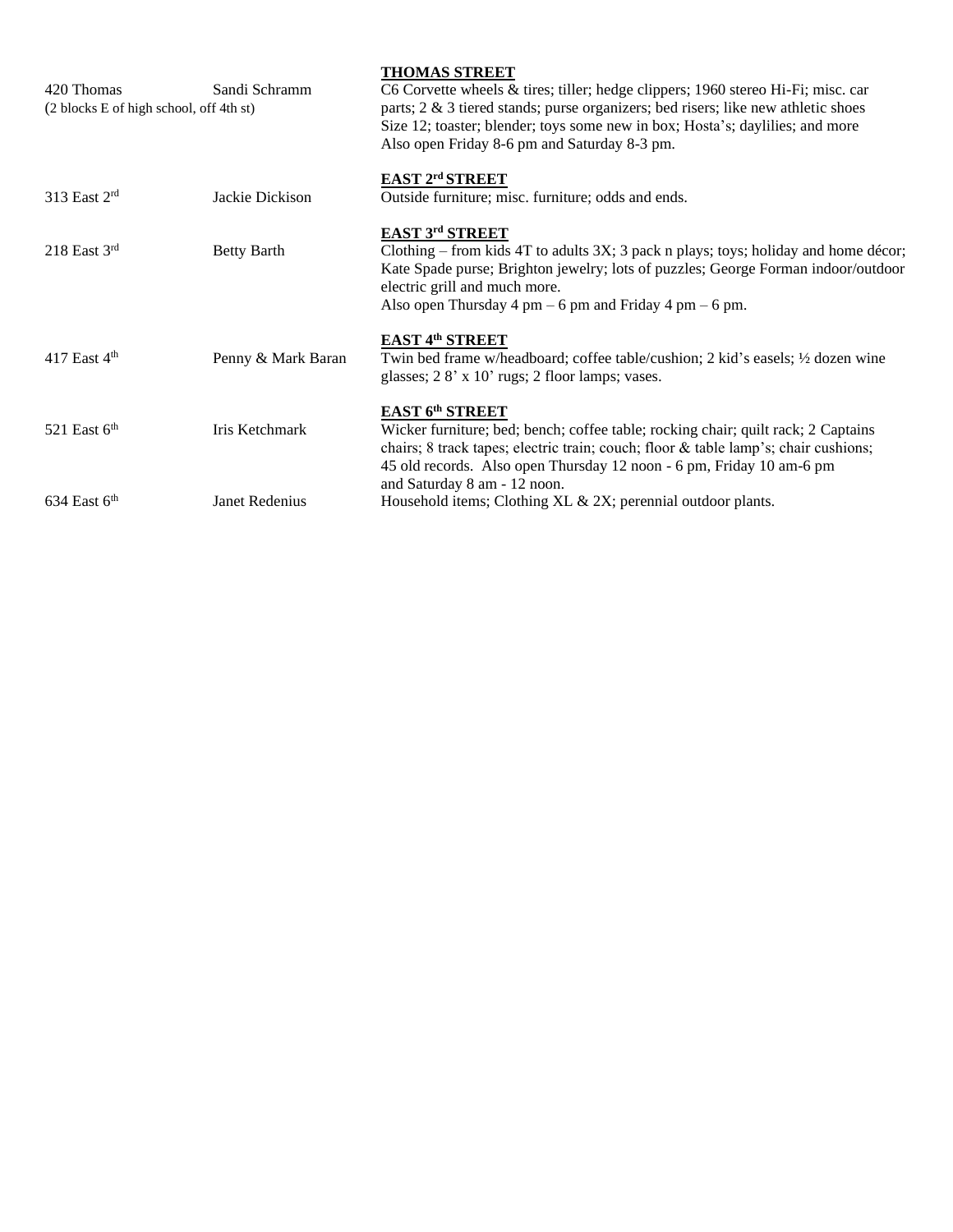| 420 Thomas<br>(2 blocks E of high school, off 4th st) | Sandi Schramm      | <b>THOMAS STREET</b><br>C6 Corvette wheels & tires; tiller; hedge clippers; 1960 stereo Hi-Fi; misc. car<br>parts; $2 \& 3$ tiered stands; purse organizers; bed risers; like new athletic shoes<br>Size 12; toaster; blender; toys some new in box; Hosta's; daylilies; and more<br>Also open Friday 8-6 pm and Saturday 8-3 pm. |
|-------------------------------------------------------|--------------------|-----------------------------------------------------------------------------------------------------------------------------------------------------------------------------------------------------------------------------------------------------------------------------------------------------------------------------------|
| 313 East 2rd                                          | Jackie Dickison    | EAST 2rd STREET<br>Outside furniture; misc. furniture; odds and ends.                                                                                                                                                                                                                                                             |
| $218$ East $3rd$                                      | <b>Betty Barth</b> | EAST 3rd STREET<br>Clothing – from kids 4T to adults $3X$ ; 3 pack n plays; toys; holiday and home décor;<br>Kate Spade purse; Brighton jewelry; lots of puzzles; George Forman indoor/outdoor<br>electric grill and much more.<br>Also open Thursday 4 pm $-6$ pm and Friday 4 pm $-6$ pm.                                       |
| 417 East $4th$                                        | Penny & Mark Baran | EAST 4th STREET<br>Twin bed frame w/headboard; coffee table/cushion; 2 kid's easels; $\frac{1}{2}$ dozen wine<br>glasses; 28' x 10' rugs; 2 floor lamps; vases.                                                                                                                                                                   |
| 521 East $6th$                                        | Iris Ketchmark     | EAST 6th STREET<br>Wicker furniture; bed; bench; coffee table; rocking chair; quilt rack; 2 Captains<br>chairs; 8 track tapes; electric train; couch; floor & table lamp's; chair cushions;<br>45 old records. Also open Thursday 12 noon - 6 pm, Friday 10 am-6 pm                                                               |
| $634$ East $6th$                                      | Janet Redenius     | and Saturday 8 am - 12 noon.<br>Household items; Clothing XL & 2X; perennial outdoor plants.                                                                                                                                                                                                                                      |